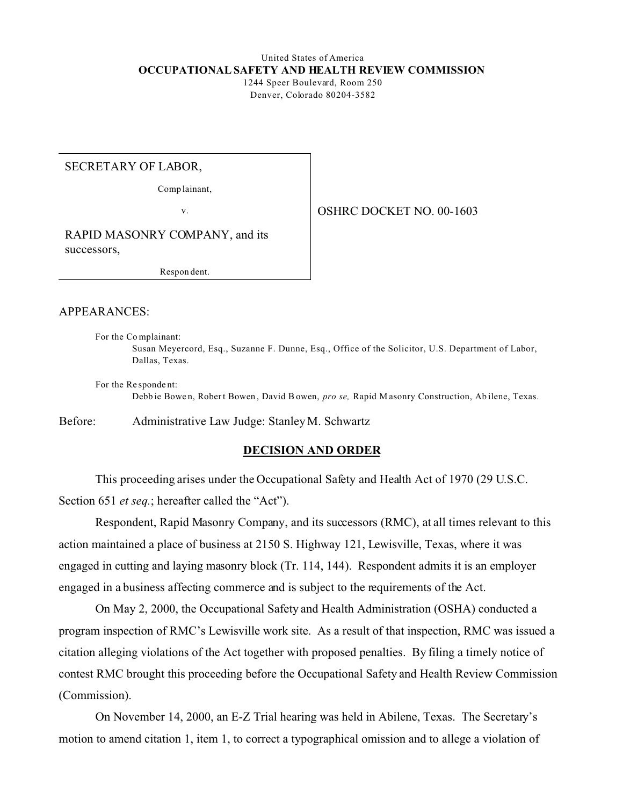# United States of America **OCCUPATIONAL SAFETY AND HEALTH REVIEW COMMISSION**

1244 Speer Boulevard, Room 250 Denver, Colorado 80204-3582

SECRETARY OF LABOR,

Comp lainant,

v.

OSHRC DOCKET NO. 00-1603

RAPID MASONRY COMPANY, and its successors,

Respon dent.

## APPEARANCES:

For the Co mplainant: Susan Meyercord, Esq., Suzanne F. Dunne, Esq., Office of the Solicitor, U.S. Department of Labor, Dallas, Texas.

For the Re sponde nt: Debb ie Bowe n, Rober t Bowen , David B owen, *pro se,* Rapid M asonry Construction, Ab ilene, Texas.

Before: Administrative Law Judge: Stanley M. Schwartz

## **DECISION AND ORDER**

This proceeding arises under the Occupational Safety and Health Act of 1970 (29 U.S.C. Section 651 *et seq.*; hereafter called the "Act").

Respondent, Rapid Masonry Company, and its successors (RMC), at all times relevant to this action maintained a place of business at 2150 S. Highway 121, Lewisville, Texas, where it was engaged in cutting and laying masonry block (Tr. 114, 144). Respondent admits it is an employer engaged in a business affecting commerce and is subject to the requirements of the Act.

On May 2, 2000, the Occupational Safety and Health Administration (OSHA) conducted a program inspection of RMC's Lewisville work site. As a result of that inspection, RMC was issued a citation alleging violations of the Act together with proposed penalties. By filing a timely notice of contest RMC brought this proceeding before the Occupational Safety and Health Review Commission (Commission).

On November 14, 2000, an E-Z Trial hearing was held in Abilene, Texas. The Secretary's motion to amend citation 1, item 1, to correct a typographical omission and to allege a violation of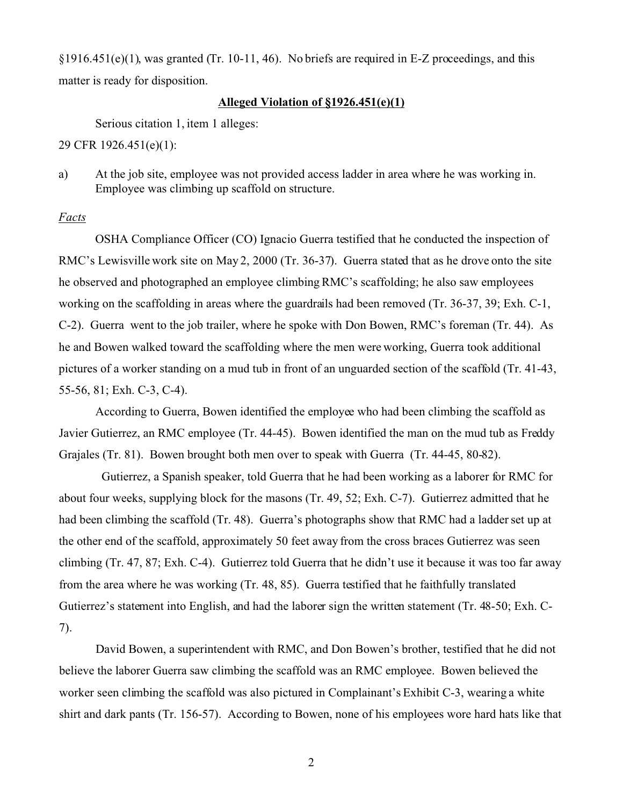§1916.451(e)(1), was granted (Tr. 10-11, 46). No briefs are required in E-Z proceedings, and this matter is ready for disposition.

# **Alleged Violation of §1926.451(e)(1)**

Serious citation 1, item 1 alleges:

29 CFR 1926.451(e)(1):

a) At the job site, employee was not provided access ladder in area where he was working in. Employee was climbing up scaffold on structure.

# *Facts*

OSHA Compliance Officer (CO) Ignacio Guerra testified that he conducted the inspection of RMC's Lewisville work site on May 2, 2000 (Tr. 36-37). Guerra stated that as he drove onto the site he observed and photographed an employee climbing RMC's scaffolding; he also saw employees working on the scaffolding in areas where the guardrails had been removed (Tr. 36-37, 39; Exh. C-1, C-2). Guerra went to the job trailer, where he spoke with Don Bowen, RMC's foreman (Tr. 44). As he and Bowen walked toward the scaffolding where the men were working, Guerra took additional pictures of a worker standing on a mud tub in front of an unguarded section of the scaffold (Tr. 41-43, 55-56, 81; Exh. C-3, C-4).

According to Guerra, Bowen identified the employee who had been climbing the scaffold as Javier Gutierrez, an RMC employee (Tr. 44-45). Bowen identified the man on the mud tub as Freddy Grajales (Tr. 81). Bowen brought both men over to speak with Guerra (Tr. 44-45, 80-82).

Gutierrez, a Spanish speaker, told Guerra that he had been working as a laborer for RMC for about four weeks, supplying block for the masons (Tr. 49, 52; Exh. C-7). Gutierrez admitted that he had been climbing the scaffold (Tr. 48). Guerra's photographs show that RMC had a ladder set up at the other end of the scaffold, approximately 50 feet away from the cross braces Gutierrez was seen climbing (Tr. 47, 87; Exh. C-4). Gutierrez told Guerra that he didn't use it because it was too far away from the area where he was working (Tr. 48, 85). Guerra testified that he faithfully translated Gutierrez's statement into English, and had the laborer sign the written statement (Tr. 48-50; Exh. C-7).

David Bowen, a superintendent with RMC, and Don Bowen's brother, testified that he did not believe the laborer Guerra saw climbing the scaffold was an RMC employee. Bowen believed the worker seen climbing the scaffold was also pictured in Complainant's Exhibit C-3, wearing a white shirt and dark pants (Tr. 156-57). According to Bowen, none of his employees wore hard hats like that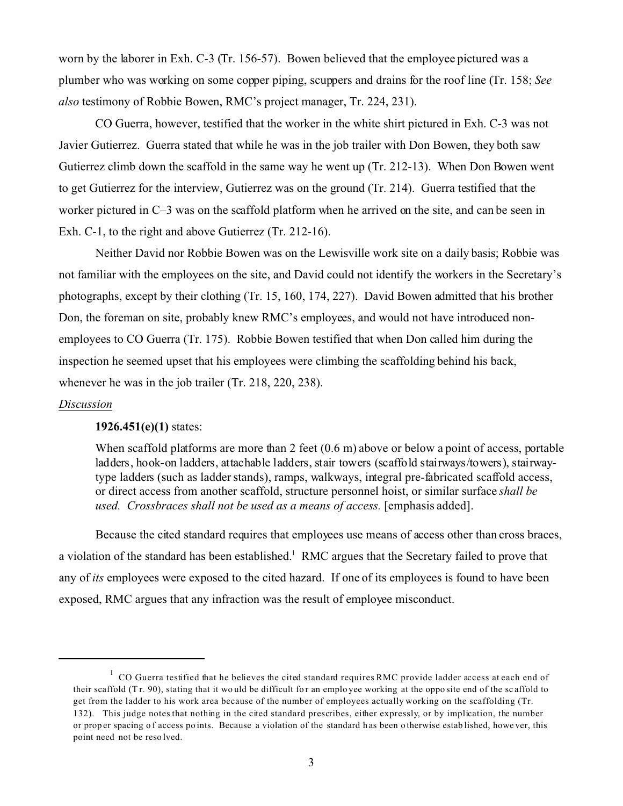worn by the laborer in Exh. C-3 (Tr. 156-57). Bowen believed that the employee pictured was a plumber who was working on some copper piping, scuppers and drains for the roof line (Tr. 158; *See also* testimony of Robbie Bowen, RMC's project manager, Tr. 224, 231).

CO Guerra, however, testified that the worker in the white shirt pictured in Exh. C-3 was not Javier Gutierrez. Guerra stated that while he was in the job trailer with Don Bowen, they both saw Gutierrez climb down the scaffold in the same way he went up (Tr. 212-13). When Don Bowen went to get Gutierrez for the interview, Gutierrez was on the ground (Tr. 214). Guerra testified that the worker pictured in C–3 was on the scaffold platform when he arrived on the site, and can be seen in Exh. C-1, to the right and above Gutierrez (Tr. 212-16).

Neither David nor Robbie Bowen was on the Lewisville work site on a daily basis; Robbie was not familiar with the employees on the site, and David could not identify the workers in the Secretary's photographs, except by their clothing (Tr. 15, 160, 174, 227). David Bowen admitted that his brother Don, the foreman on site, probably knew RMC's employees, and would not have introduced nonemployees to CO Guerra (Tr. 175). Robbie Bowen testified that when Don called him during the inspection he seemed upset that his employees were climbing the scaffolding behind his back, whenever he was in the job trailer (Tr. 218, 220, 238).

## *Discussion*

## **1926.451(e)(1)** states:

When scaffold platforms are more than 2 feet  $(0.6 \text{ m})$  above or below a point of access, portable ladders, hook-on ladders, attachable ladders, stair towers (scaffold stairways/towers), stairwaytype ladders (such as ladder stands), ramps, walkways, integral pre-fabricated scaffold access, or direct access from another scaffold, structure personnel hoist, or similar surface *shall be used. Crossbraces shall not be used as a means of access.* [emphasis added].

Because the cited standard requires that employees use means of access other than cross braces, a violation of the standard has been established.<sup>1</sup> RMC argues that the Secretary failed to prove that any of *its* employees were exposed to the cited hazard. If one of its employees is found to have been exposed, RMC argues that any infraction was the result of employee misconduct.

 $1 \text{ CO}$  Guerra testified that he believes the cited standard requires RMC provide ladder access at each end of their scaffold (Tr. 90), stating that it would be difficult for an employee working at the opposite end of the scaffold to get from the ladder to his work area because of the number of employees actually working on the scaffolding (Tr. 132). This judge notes that nothing in the cited standard prescribes, either expressly, or by implication, the number or prop er spacing o f access po ints. Because a violation of the standard h as been o therwise estab lished, howe ver, this point need not be reso lved.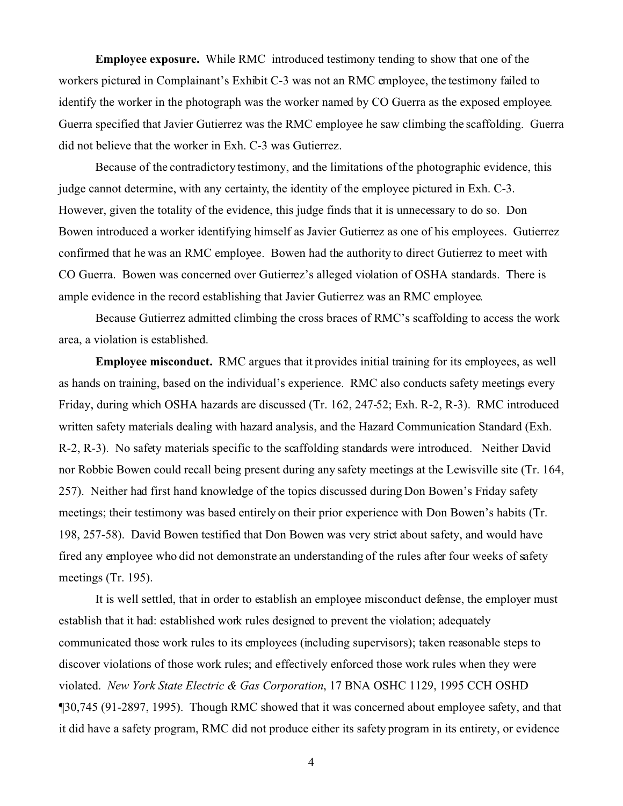**Employee exposure.** While RMC introduced testimony tending to show that one of the workers pictured in Complainant's Exhibit C-3 was not an RMC employee, the testimony failed to identify the worker in the photograph was the worker named by CO Guerra as the exposed employee. Guerra specified that Javier Gutierrez was the RMC employee he saw climbing the scaffolding. Guerra did not believe that the worker in Exh. C-3 was Gutierrez.

Because of the contradictory testimony, and the limitations of the photographic evidence, this judge cannot determine, with any certainty, the identity of the employee pictured in Exh. C-3. However, given the totality of the evidence, this judge finds that it is unnecessary to do so. Don Bowen introduced a worker identifying himself as Javier Gutierrez as one of his employees. Gutierrez confirmed that he was an RMC employee. Bowen had the authority to direct Gutierrez to meet with CO Guerra. Bowen was concerned over Gutierrez's alleged violation of OSHA standards. There is ample evidence in the record establishing that Javier Gutierrez was an RMC employee.

Because Gutierrez admitted climbing the cross braces of RMC's scaffolding to access the work area, a violation is established.

**Employee misconduct.** RMC argues that it provides initial training for its employees, as well as hands on training, based on the individual's experience. RMC also conducts safety meetings every Friday, during which OSHA hazards are discussed (Tr. 162, 247-52; Exh. R-2, R-3). RMC introduced written safety materials dealing with hazard analysis, and the Hazard Communication Standard (Exh. R-2, R-3). No safety materials specific to the scaffolding standards were introduced. Neither David nor Robbie Bowen could recall being present during any safety meetings at the Lewisville site (Tr. 164, 257). Neither had first hand knowledge of the topics discussed during Don Bowen's Friday safety meetings; their testimony was based entirely on their prior experience with Don Bowen's habits (Tr. 198, 257-58). David Bowen testified that Don Bowen was very strict about safety, and would have fired any employee who did not demonstrate an understanding of the rules after four weeks of safety meetings (Tr. 195).

It is well settled, that in order to establish an employee misconduct defense, the employer must establish that it had: established work rules designed to prevent the violation; adequately communicated those work rules to its employees (including supervisors); taken reasonable steps to discover violations of those work rules; and effectively enforced those work rules when they were violated. *New York State Electric & Gas Corporation*, 17 BNA OSHC 1129, 1995 CCH OSHD ¶30,745 (91-2897, 1995). Though RMC showed that it was concerned about employee safety, and that it did have a safety program, RMC did not produce either its safety program in its entirety, or evidence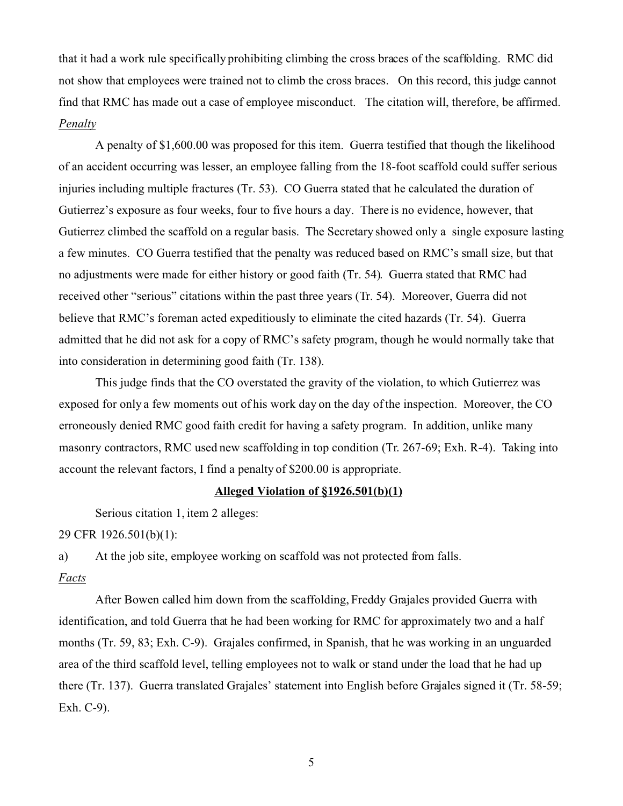that it had a work rule specifically prohibiting climbing the cross braces of the scaffolding. RMC did not show that employees were trained not to climb the cross braces. On this record, this judge cannot find that RMC has made out a case of employee misconduct. The citation will, therefore, be affirmed. *Penalty* 

A penalty of \$1,600.00 was proposed for this item. Guerra testified that though the likelihood of an accident occurring was lesser, an employee falling from the 18-foot scaffold could suffer serious injuries including multiple fractures (Tr. 53). CO Guerra stated that he calculated the duration of Gutierrez's exposure as four weeks, four to five hours a day. There is no evidence, however, that Gutierrez climbed the scaffold on a regular basis. The Secretary showed only a single exposure lasting a few minutes. CO Guerra testified that the penalty was reduced based on RMC's small size, but that no adjustments were made for either history or good faith (Tr. 54). Guerra stated that RMC had received other "serious" citations within the past three years (Tr. 54). Moreover, Guerra did not believe that RMC's foreman acted expeditiously to eliminate the cited hazards (Tr. 54). Guerra admitted that he did not ask for a copy of RMC's safety program, though he would normally take that into consideration in determining good faith (Tr. 138).

This judge finds that the CO overstated the gravity of the violation, to which Gutierrez was exposed for only a few moments out of his work day on the day of the inspection. Moreover, the CO erroneously denied RMC good faith credit for having a safety program. In addition, unlike many masonry contractors, RMC used new scaffolding in top condition (Tr. 267-69; Exh. R-4). Taking into account the relevant factors, I find a penalty of \$200.00 is appropriate.

# **Alleged Violation of §1926.501(b)(1)**

Serious citation 1, item 2 alleges:

29 CFR 1926.501(b)(1):

a) At the job site, employee working on scaffold was not protected from falls.

#### *Facts*

After Bowen called him down from the scaffolding, Freddy Grajales provided Guerra with identification, and told Guerra that he had been working for RMC for approximately two and a half months (Tr. 59, 83; Exh. C-9). Grajales confirmed, in Spanish, that he was working in an unguarded area of the third scaffold level, telling employees not to walk or stand under the load that he had up there (Tr. 137). Guerra translated Grajales' statement into English before Grajales signed it (Tr. 58-59; Exh. C-9).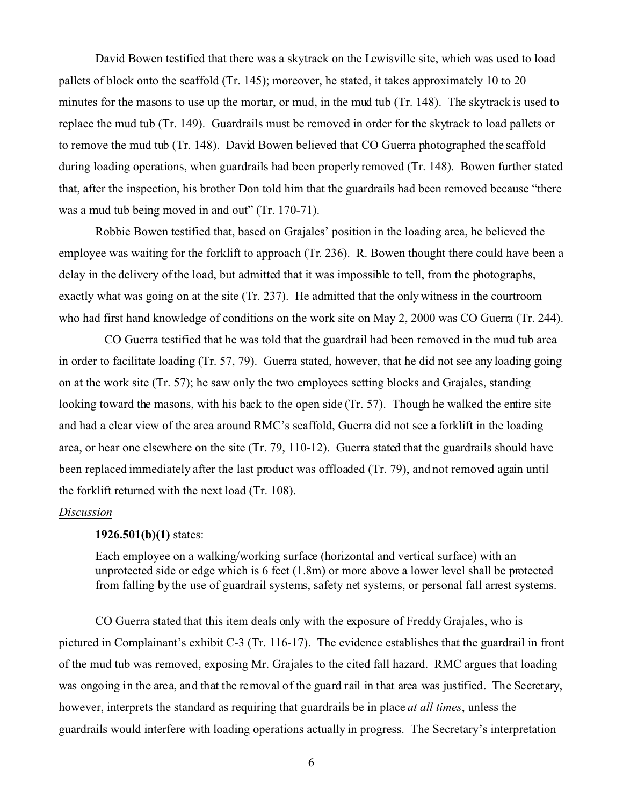David Bowen testified that there was a skytrack on the Lewisville site, which was used to load pallets of block onto the scaffold (Tr. 145); moreover, he stated, it takes approximately 10 to 20 minutes for the masons to use up the mortar, or mud, in the mud tub (Tr. 148). The skytrack is used to replace the mud tub (Tr. 149). Guardrails must be removed in order for the skytrack to load pallets or to remove the mud tub (Tr. 148). David Bowen believed that CO Guerra photographed the scaffold during loading operations, when guardrails had been properly removed (Tr. 148). Bowen further stated that, after the inspection, his brother Don told him that the guardrails had been removed because "there was a mud tub being moved in and out" (Tr. 170-71).

Robbie Bowen testified that, based on Grajales' position in the loading area, he believed the employee was waiting for the forklift to approach (Tr. 236). R. Bowen thought there could have been a delay in the delivery of the load, but admitted that it was impossible to tell, from the photographs, exactly what was going on at the site (Tr. 237). He admitted that the only witness in the courtroom who had first hand knowledge of conditions on the work site on May 2, 2000 was CO Guerra (Tr. 244).

CO Guerra testified that he was told that the guardrail had been removed in the mud tub area in order to facilitate loading (Tr. 57, 79). Guerra stated, however, that he did not see any loading going on at the work site (Tr. 57); he saw only the two employees setting blocks and Grajales, standing looking toward the masons, with his back to the open side (Tr. 57). Though he walked the entire site and had a clear view of the area around RMC's scaffold, Guerra did not see a forklift in the loading area, or hear one elsewhere on the site (Tr. 79, 110-12). Guerra stated that the guardrails should have been replaced immediately after the last product was offloaded (Tr. 79), and not removed again until the forklift returned with the next load (Tr. 108).

#### *Discussion*

#### **1926.501(b)(1)** states:

Each employee on a walking/working surface (horizontal and vertical surface) with an unprotected side or edge which is 6 feet (1.8m) or more above a lower level shall be protected from falling by the use of guardrail systems, safety net systems, or personal fall arrest systems.

CO Guerra stated that this item deals only with the exposure of Freddy Grajales, who is pictured in Complainant's exhibit C-3 (Tr. 116-17). The evidence establishes that the guardrail in front of the mud tub was removed, exposing Mr. Grajales to the cited fall hazard. RMC argues that loading was ongoing in the area, and that the removal of the guard rail in that area was justified. The Secretary, however, interprets the standard as requiring that guardrails be in place *at all times*, unless the guardrails would interfere with loading operations actually in progress. The Secretary's interpretation